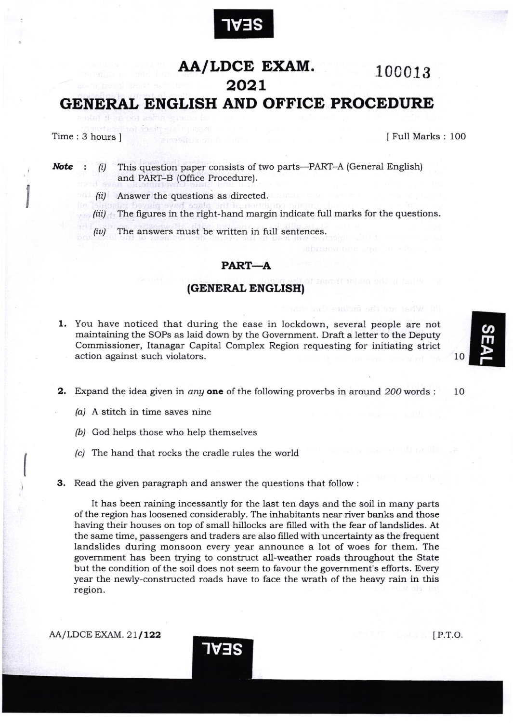

## AA/LDCE EXAM. 100013 2o2L GENERAL ENGLISH AND OFFICE PROCEDURE

I

Time: 3 hours ] [Full Marks : 100

Note :  $(i)$ This question paper consists of two parts-PART-A (General English) and PART-B (Office Procedure).

- (ii) Answer the questions as directed.
- (iii) The figures in the right-hand margin indicate full marks for the questions.
- $(iv)$ The answers must be written in full sentences.

## PART-A

## (GENERAL ENGLISH)

- 1. You have noticed that during the ease in lockdown, several people are not maintaining the SOPs as laid down by the Government. Draft a letter to the Deputy Commissioner, Itanagar Capital Complex Region requesting for initiating strict action against such violators.
- **2.** Expand the idea given in *any* one of the following proverbs in around 200 words : 10
	- $(a)$  A stitch in time saves nine
	- (b) God helps those who help themselves
	- /c/ The hand that rocks the cradle rules the world
- 3. Read the given paragraph and answer the questions that follow :

'rvlts

It has been raining incessantly for the last ten days and the soil in many parts of the region has loosened considerably. The inhabitants near river banks and those having their houses on top of small hillocks are filled with the fear of landslides. At the same time, passengers and traders are also filled with uncertainty as the frequent landslides during monsoon every year announce a lot of woes for them. The government has been trying to construct all-weather roads throughout the State but the condition of the soil does not seem to favour the government's efforts. Every year the newly-constructed roads have to face the wrath of the heavy rain in this region.

 $AA/LDCE$  EXAM.  $21/122$  P.T.O.

T

10

 $\overline{a}$ m

l-